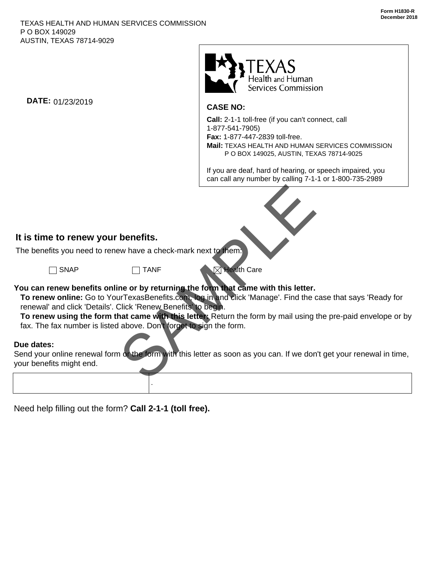

### **CASE NO:**

**Call:** 2-1-1 toll-free (if you can't connect, call 1-877-541-7905) **Fax:** 1-877-447-2839 toll-free. **Mail:** TEXAS HEALTH AND HUMAN SERVICES COMMISSION P O BOX 149025, AUSTIN, TEXAS 78714-9025

If you are deaf, hard of hearing, or speech impaired, you can call any number by calling 7-1-1 or 1-800-735-2989



# **It is time to renew your benefits.**

The benefits you need to renew have a check-mark next to them:

**DATE:** 01/23/2019

.

SNAP TANF **Nealth Care** 

## **You can renew benefits online or by returning the form that came with this letter.**

 **To renew online:** Go to YourTexasBenefits.com, log in and click 'Manage'. Find the case that says 'Ready for renewal' and click 'Details'. Click 'Renew Benefits' to begin.

 **To renew using the form that came with this letter:** Return the form by mail using the pre-paid envelope or by fax. The fax number is listed above. Don't forget to sign the form.

## **Due dates:**

Send your online renewal form or the form with this letter as soon as you can. If we don't get your renewal in time, your benefits might end.

Need help filling out the form? **Call 2-1-1 (toll free).**